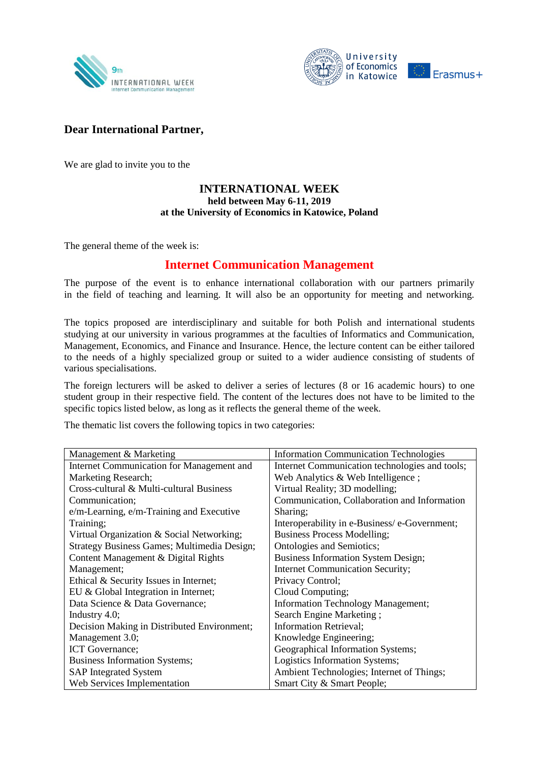



## **Dear International Partner,**

We are glad to invite you to the

## **INTERNATIONAL WEEK held between May 6-11, 2019 at the University of Economics in Katowice, Poland**

The general theme of the week is:

## **Internet Communication Management**

The purpose of the event is to enhance international collaboration with our partners primarily in the field of teaching and learning. It will also be an opportunity for meeting and networking.

The topics proposed are interdisciplinary and suitable for both Polish and international students studying at our university in various programmes at the faculties of Informatics and Communication, Management, Economics, and Finance and Insurance. Hence, the lecture content can be either tailored to the needs of a highly specialized group or suited to a wider audience consisting of students of various specialisations.

The foreign lecturers will be asked to deliver a series of lectures (8 or 16 academic hours) to one student group in their respective field. The content of the lectures does not have to be limited to the specific topics listed below, as long as it reflects the general theme of the week.

The thematic list covers the following topics in two categories:

| Management & Marketing                      | <b>Information Communication Technologies</b>  |
|---------------------------------------------|------------------------------------------------|
| Internet Communication for Management and   | Internet Communication technologies and tools; |
| Marketing Research;                         | Web Analytics $&$ Web Intelligence;            |
| Cross-cultural & Multi-cultural Business    | Virtual Reality; 3D modelling;                 |
| Communication;                              | Communication, Collaboration and Information   |
| e/m-Learning, e/m-Training and Executive    | Sharing;                                       |
| Training;                                   | Interoperability in e-Business/e-Government;   |
| Virtual Organization & Social Networking;   | <b>Business Process Modelling;</b>             |
| Strategy Business Games; Multimedia Design; | Ontologies and Semiotics;                      |
| Content Management & Digital Rights         | <b>Business Information System Design;</b>     |
| Management;                                 | <b>Internet Communication Security;</b>        |
| Ethical & Security Issues in Internet;      | Privacy Control;                               |
| EU & Global Integration in Internet;        | Cloud Computing;                               |
| Data Science & Data Governance;             | Information Technology Management;             |
| Industry 4.0;                               | Search Engine Marketing;                       |
| Decision Making in Distributed Environment; | <b>Information Retrieval;</b>                  |
| Management 3.0;                             | Knowledge Engineering;                         |
| ICT Governance;                             | Geographical Information Systems;              |
| <b>Business Information Systems;</b>        | Logistics Information Systems;                 |
| <b>SAP</b> Integrated System                | Ambient Technologies; Internet of Things;      |
| Web Services Implementation                 | Smart City & Smart People;                     |